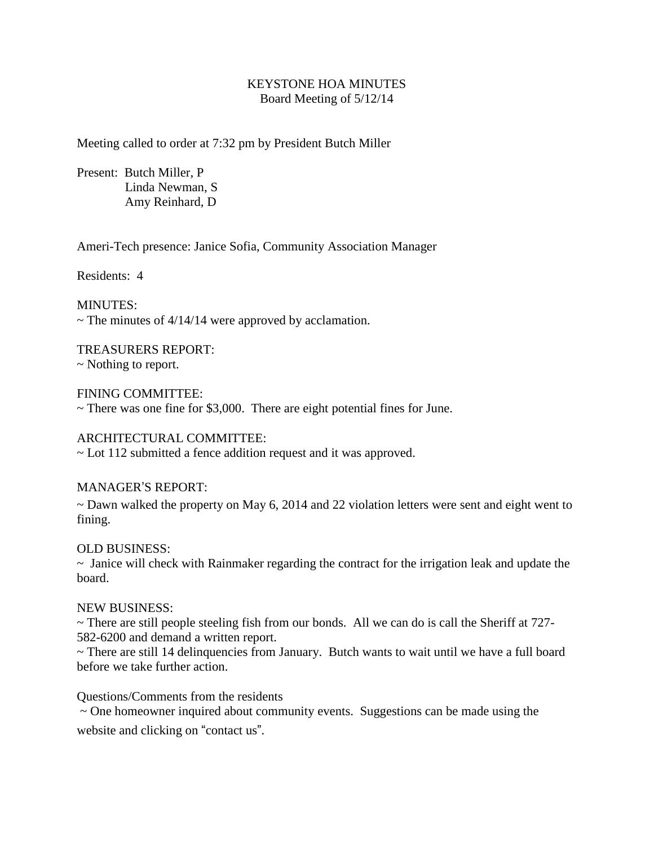## KEYSTONE HOA MINUTES Board Meeting of 5/12/14

Meeting called to order at 7:32 pm by President Butch Miller

Present: Butch Miller, P Linda Newman, S Amy Reinhard, D

Ameri-Tech presence: Janice Sofia, Community Association Manager

Residents: 4

MINUTES:  $\sim$  The minutes of 4/14/14 were approved by acclamation.

TREASURERS REPORT: ~ Nothing to report.

FINING COMMITTEE: ~ There was one fine for \$3,000. There are eight potential fines for June.

ARCHITECTURAL COMMITTEE:

~ Lot 112 submitted a fence addition request and it was approved.

MANAGER'S REPORT:

~ Dawn walked the property on May 6, 2014 and 22 violation letters were sent and eight went to fining.

OLD BUSINESS:

~ Janice will check with Rainmaker regarding the contract for the irrigation leak and update the board.

NEW BUSINESS:

~ There are still people steeling fish from our bonds. All we can do is call the Sheriff at 727- 582-6200 and demand a written report.

~ There are still 14 delinquencies from January. Butch wants to wait until we have a full board before we take further action.

Questions/Comments from the residents

~ One homeowner inquired about community events. Suggestions can be made using the website and clicking on "contact us".